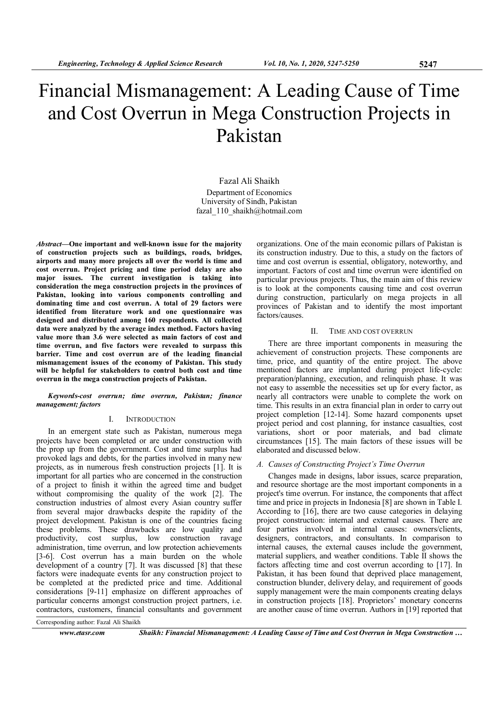# Financial Mismanagement: A Leading Cause of Time and Cost Overrun in Mega Construction Projects in Pakistan

Fazal Ali Shaikh Department of Economics University of Sindh, Pakistan fazal\_110\_shaikh@hotmail.com

Abstract—One important and well-known issue for the majority of construction projects such as buildings, roads, bridges, airports and many more projects all over the world is time and cost overrun. Project pricing and time period delay are also major issues. The current investigation is taking into consideration the mega construction projects in the provinces of Pakistan, looking into various components controlling and dominating time and cost overrun. A total of 29 factors were identified from literature work and one questionnaire was designed and distributed among 160 respondents. All collected data were analyzed by the average index method. Factors having value more than 3.6 were selected as main factors of cost and time overrun, and five factors were revealed to surpass this barrier. Time and cost overrun are of the leading financial mismanagement issues of the economy of Pakistan. This study will be helpful for stakeholders to control both cost and time overrun in the mega construction projects of Pakistan.

#### Keywords-cost overrun; time overrun, Pakistan; finance management; factors

# I. INTRODUCTION

In an emergent state such as Pakistan, numerous mega projects have been completed or are under construction with the prop up from the government. Cost and time surplus had provoked lags and debts, for the parties involved in many new projects, as in numerous fresh construction projects [1]. It is important for all parties who are concerned in the construction of a project to finish it within the agreed time and budget without compromising the quality of the work [2]. The construction industries of almost every Asian country suffer from several major drawbacks despite the rapidity of the project development. Pakistan is one of the countries facing these problems. These drawbacks are low quality and productivity, cost surplus, low construction rayage productivity, cost surplus, administration, time overrun, and low protection achievements [3-6]. Cost overrun has a main burden on the whole development of a country [7]. It was discussed [8] that these factors were inadequate events for any construction project to be completed at the predicted price and time. Additional considerations [9-11] emphasize on different approaches of particular concerns amongst construction project partners, i.e. contractors, customers, financial consultants and government

organizations. One of the main economic pillars of Pakistan is its construction industry. Due to this, a study on the factors of time and cost overrun is essential, obligatory, noteworthy, and important. Factors of cost and time overrun were identified on particular previous projects. Thus, the main aim of this review is to look at the components causing time and cost overrun during construction, particularly on mega projects in all provinces of Pakistan and to identify the most important factors/causes.

#### II. TIME AND COST OVERRUN

There are three important components in measuring the achievement of construction projects. These components are time, price, and quantity of the entire project. The above mentioned factors are implanted during project life-cycle: preparation/planning, execution, and relinquish phase. It was not easy to assemble the necessities set up for every factor, as nearly all contractors were unable to complete the work on time. This results in an extra financial plan in order to carry out project completion [12-14]. Some hazard components upset project period and cost planning, for instance casualties, cost variations, short or poor materials, and bad climate circumstances [15]. The main factors of these issues will be elaborated and discussed below.

#### A. Causes of Constructing Project's Time Overrun

Changes made in designs, labor issues, scarce preparation, and resource shortage are the most important components in a project's time overrun. For instance, the components that affect time and price in projects in Indonesia [8] are shown in Table I. According to [16], there are two cause categories in delaying project construction: internal and external causes. There are four parties involved in internal causes: owners/clients, designers, contractors, and consultants. In comparison to internal causes, the external causes include the government, material suppliers, and weather conditions. Table II shows the factors affecting time and cost overrun according to [17]. In Pakistan, it has been found that deprived place management, construction blunder, delivery delay, and requirement of goods supply management were the main components creating delays in construction projects [18]. Proprietors' monetary concerns are another cause of time overrun. Authors in [19] reported that

Corresponding author: Fazal Ali Shaikh

www.etasr.com Shaikh: Financial Mismanagement: A Leading Cause of Time and Cost Overrun in Mega Construction …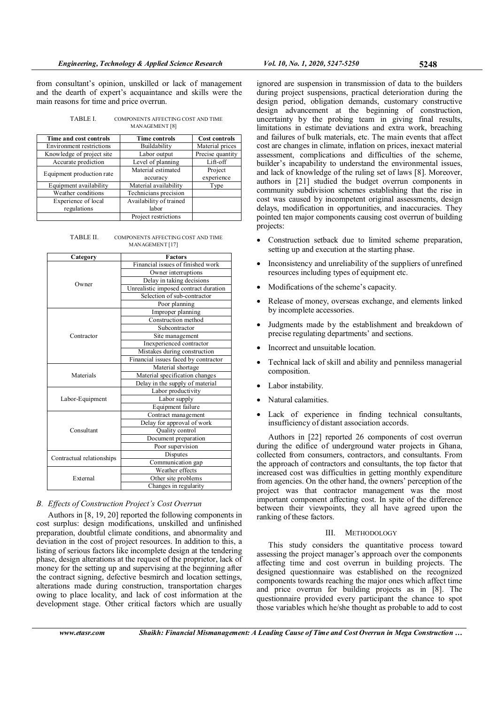from consultant's opinion, unskilled or lack of management and the dearth of expert's acquaintance and skills were the main reasons for time and price overrun.

| TABLE I. | COMPONENTS AFFECTING COST AND TIME |
|----------|------------------------------------|
|          | MANAGEMENT [8]                     |

| Time and cost controls             | <b>Time controls</b>             | <b>Cost controls</b>  |
|------------------------------------|----------------------------------|-----------------------|
| <b>Environment restrictions</b>    | Buildability                     | Material prices       |
| Knowledge of project site          | Labor output                     | Precise quantity      |
| Accurate prediction                | Level of planning                | Lift-off              |
| Equipment production rate          | Material estimated<br>accuracy   | Project<br>experience |
| Equipment availability             | Material availability            | Type                  |
| Weather conditions                 | Technicians precision            |                       |
| Experience of local<br>regulations | Availability of trained<br>labor |                       |
|                                    | Project restrictions             |                       |

TABLE II. COMPONENTS AFFECTING COST AND TIME MANAGEMENT [17]

| Category                  | <b>Factors</b>                        |
|---------------------------|---------------------------------------|
|                           | Financial issues of finished work     |
|                           | Owner interruptions                   |
| Owner                     | Delay in taking decisions             |
|                           | Unrealistic imposed contract duration |
|                           | Selection of sub-contractor           |
|                           | Poor planning                         |
|                           | Improper planning                     |
|                           | Construction method                   |
|                           | Subcontractor                         |
| Contractor                | Site management                       |
|                           | Inexperienced contractor              |
|                           | Mistakes during construction          |
|                           | Financial issues faced by contractor  |
|                           | Material shortage                     |
| Materials                 | Material specification changes        |
|                           | Delay in the supply of material       |
|                           | Labor productivity                    |
| Labor-Equipment           | Labor supply                          |
|                           | Equipment failure                     |
|                           | Contract management                   |
|                           | Delay for approval of work            |
| Consultant                | Quality control                       |
|                           | Document preparation                  |
|                           | Poor supervision                      |
| Contractual relationships | Disputes                              |
|                           | Communication gap                     |
|                           | Weather effects                       |
| External                  | Other site problems                   |
|                           | Changes in regularity                 |

# B. Effects of Construction Project's Cost Overrun

Authors in [8, 19, 20] reported the following components in cost surplus: design modifications, unskilled and unfinished preparation, doubtful climate conditions, and abnormality and deviation in the cost of project resources. In addition to this, a listing of serious factors like incomplete design at the tendering phase, design alterations at the request of the proprietor, lack of money for the setting up and supervising at the beginning after the contract signing, defective besmirch and location settings, alterations made during construction, transportation charges owing to place locality, and lack of cost information at the development stage. Other critical factors which are usually

ignored are suspension in transmission of data to the builders during project suspensions, practical deterioration during the design period, obligation demands, customary constructive design advancement at the beginning of construction, uncertainty by the probing team in giving final results, limitations in estimate deviations and extra work, breaching and failures of bulk materials, etc. The main events that affect cost are changes in climate, inflation on prices, inexact material assessment, complications and difficulties of the scheme, builder's incapability to understand the environmental issues, and lack of knowledge of the ruling set of laws [8]. Moreover, authors in [21] studied the budget overrun components in community subdivision schemes establishing that the rise in cost was caused by incompetent original assessments, design delays, modification in opportunities, and inaccuracies. They pointed ten major components causing cost overrun of building projects:

- Construction setback due to limited scheme preparation, setting up and execution at the starting phase.
- Inconsistency and unreliability of the suppliers of unrefined resources including types of equipment etc.
- Modifications of the scheme's capacity.
- Release of money, overseas exchange, and elements linked by incomplete accessories.
- Judgments made by the establishment and breakdown of precise regulating departments' and sections.
- Incorrect and unsuitable location.
- Technical lack of skill and ability and penniless managerial composition.
- Labor instability.
- Natural calamities.
- Lack of experience in finding technical consultants, insufficiency of distant association accords.

Authors in [22] reported 26 components of cost overrun during the edifice of underground water projects in Ghana, collected from consumers, contractors, and consultants. From the approach of contractors and consultants, the top factor that increased cost was difficulties in getting monthly expenditure from agencies. On the other hand, the owners' perception of the project was that contractor management was the most important component affecting cost. In spite of the difference between their viewpoints, they all have agreed upon the ranking of these factors.

## III. METHODOLOGY

This study considers the quantitative process toward assessing the project manager's approach over the components affecting time and cost overrun in building projects. The designed questionnaire was established on the recognized components towards reaching the major ones which affect time and price overrun for building projects as in [8]. The questionnaire provided every participant the chance to spot those variables which he/she thought as probable to add to cost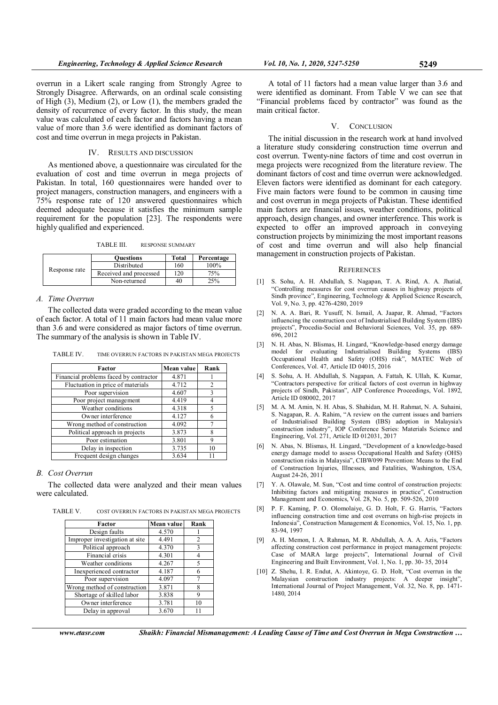overrun in a Likert scale ranging from Strongly Agree to Strongly Disagree. Afterwards, on an ordinal scale consisting of High (3), Medium (2), or Low (1), the members graded the density of recurrence of every factor. In this study, the mean value was calculated of each factor and factors having a mean value of more than 3.6 were identified as dominant factors of cost and time overrun in mega projects in Pakistan.

#### IV. RESULTS AND DISCUSSION

As mentioned above, a questionnaire was circulated for the evaluation of cost and time overrun in mega projects of Pakistan. In total, 160 questionnaires were handed over to project managers, construction managers, and engineers with a 75% response rate of 120 answered questionnaires which deemed adequate because it satisfies the minimum sample requirement for the population [23]. The respondents were highly qualified and experienced.

TABLE III. RESPONSE SUMMARY

| Response rate | <b>Ouestions</b>       | Total | Percentage |
|---------------|------------------------|-------|------------|
|               | Distributed            | 160   | $100\%$    |
|               | Received and processed | 120   | 75%        |
|               | Non-returned           | 40    | 25%        |

#### A. Time Overrun

The collected data were graded according to the mean value of each factor. A total of 11 main factors had mean value more than 3.6 and were considered as major factors of time overrun. The summary of the analysis is shown in Table IV.

| <b>TABLE IV.</b> | TIME OVERRUN FACTORS IN PAKISTAN MEGA PROJECTS |  |
|------------------|------------------------------------------------|--|
|------------------|------------------------------------------------|--|

| Factor                                 | Mean value | Rank |
|----------------------------------------|------------|------|
| Financial problems faced by contractor | 4.871      |      |
| Fluctuation in price of materials      | 4.712      | 2    |
| Poor supervision                       | 4.607      | 3    |
| Poor project management                | 4.419      | 4    |
| Weather conditions                     | 4.318      | 5    |
| Owner interference                     | 4.127      | 6    |
| Wrong method of construction           | 4.092      |      |
| Political approach in projects         | 3.873      | 8    |
| Poor estimation                        | 3.801      | 9    |
| Delay in inspection                    | 3.735      | 10   |
| Frequent design changes                | 3.634      | 11   |

### B. Cost Overrun

The collected data were analyzed and their mean values were calculated.

TABLE V. COST OVERRUN FACTORS IN PAKISTAN MEGA PROJECTS

| Factor                         | Mean value | Rank |
|--------------------------------|------------|------|
| Design faults                  | 4.570      |      |
| Improper investigation at site | 4.491      | 2    |
| Political approach             | 4.370      | 3    |
| Financial crisis               | 4.301      |      |
| Weather conditions             | 4.267      | 5    |
| Inexperienced contractor       | 4.187      | 6    |
| Poor supervision               | 4.097      |      |
| Wrong method of construction   | 3.871      | 8    |
| Shortage of skilled labor      | 3.838      | g    |
| Owner interference             | 3.781      | 10   |
| Delay in approval              | 3.670      |      |

A total of 11 factors had a mean value larger than 3.6 and were identified as dominant. From Table V we can see that "Financial problems faced by contractor" was found as the main critical factor.

#### V. CONCLUSION

The initial discussion in the research work at hand involved a literature study considering construction time overrun and cost overrun. Twenty-nine factors of time and cost overrun in mega projects were recognized from the literature review. The dominant factors of cost and time overrun were acknowledged. Eleven factors were identified as dominant for each category. Five main factors were found to be common in causing time and cost overrun in mega projects of Pakistan. These identified main factors are financial issues, weather conditions, political approach, design changes, and owner interference. This work is expected to offer an improved approach in conveying construction projects by minimizing the most important reasons of cost and time overrun and will also help financial management in construction projects of Pakistan.

### **REFERENCES**

- [1] S. Sohu, A. H. Abdullah, S. Nagapan, T. A. Rind, A. A. Jhatial, "Controlling measures for cost overrun causes in highway projects of Sindh province", Engineering, Technology & Applied Science Research, Vol. 9, No. 3, pp. 4276-4280, 2019
- [2] N. A. A. Bari, R. Yusuff, N. Ismail, A. Jaapar, R. Ahmad, "Factors influencing the construction cost of Industrialised Building System (IBS) projects", Procedia-Social and Behavioral Sciences, Vol. 35, pp. 689- 696, 2012
- [3] N. H. Abas, N. Blismas, H. Lingard, "Knowledge-based energy damage model for evaluating Industrialised Building Systems (IBS) Occupational Health and Safety (OHS) risk", MATEC Web of Conferences, Vol. 47, Article ID 04015, 2016
- [4] S. Sohu, A. H. Abdullah, S. Nagapan, A. Fattah, K. Ullah, K. Kumar, "Contractors perspective for critical factors of cost overrun in highway projects of Sindh, Pakistan", AIP Conference Proceedings, Vol. 1892, Article ID 080002, 2017
- [5] M. A. M. Amin, N. H. Abas, S. Shahidan, M. H. Rahmat, N. A. Suhaini, S. Nagapan, R. A. Rahim, "A review on the current issues and barriers of Industrialised Building System (IBS) adoption in Malaysia's construction industry", IOP Conference Series: Materials Science and Engineering, Vol. 271, Article ID 012031, 2017
- [6] N. Abas, N. Blismas, H. Lingard, "Development of a knowledge-based energy damage model to assess Occupational Health and Safety (OHS) construction risks in Malaysia", CIBW099 Prevention: Means to the End of Construction Injuries, Illnesses, and Fatalities, Washington, USA, August 24-26, 2011
- [7] Y. A. Olawale, M. Sun, "Cost and time control of construction projects: Inhibiting factors and mitigating measures in practice", Construction Management and Economics, Vol. 28, No. 5, pp. 509-526, 2010
- [8] P. F. Kaming, P. O. Olomolaiye, G. D. Holt, F. G. Harris, "Factors influencing construction time and cost overruns on high-rise projects in Indonesia", Construction Management & Economics, Vol. 15, No. 1, pp. 83-94, 1997
- [9] A. H. Memon, I. A. Rahman, M. R. Abdullah, A. A. A. Azis, "Factors affecting construction cost performance in project management projects: Case of MARA large projects", International Journal of Civil Engineering and Built Environment, Vol. 1, No. 1, pp. 30- 35, 2014
- [10] Z. Shehu, I. R. Endut, A. Akintoye, G. D. Holt, "Cost overrun in the Malaysian construction industry projects: A deeper insight", International Journal of Project Management, Vol. 32, No. 8, pp. 1471- 1480, 2014